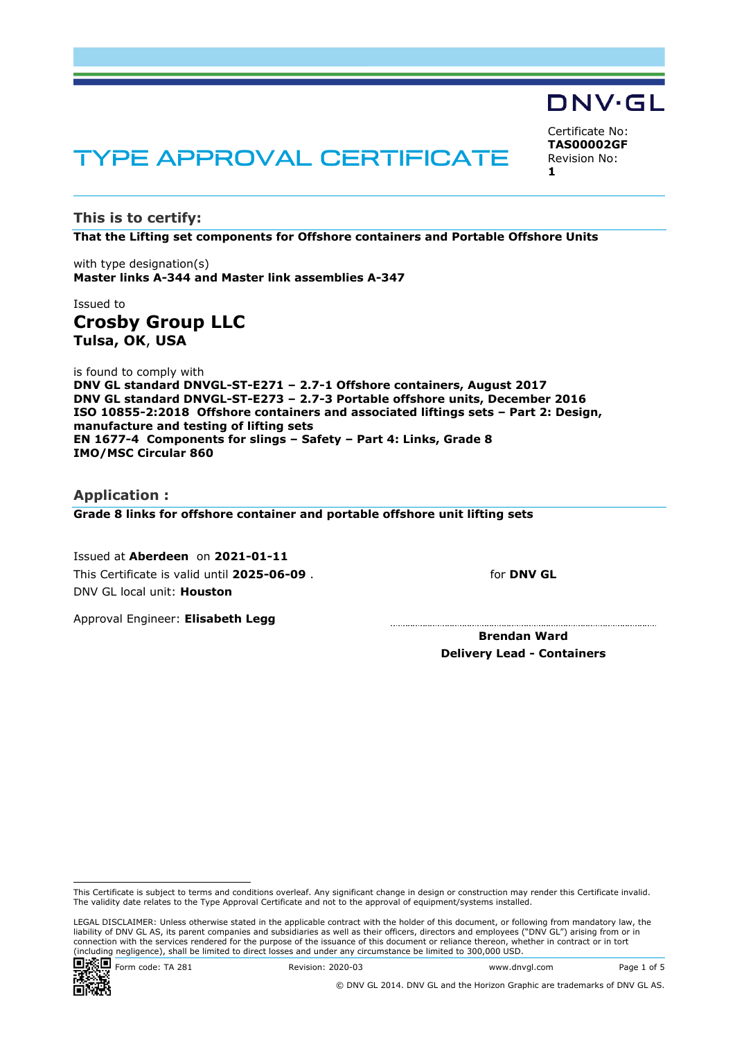# TYPE APPROVAL CERTIFICATE

**This is to certify:**

**That the Lifting set components for Offshore containers and Portable Offshore Units**

with type designation(s) **Master links A-344 and Master link assemblies A-347**

# Issued to **Crosby Group LLC Tulsa, OK**, **USA**

is found to comply with **DNV GL standard DNVGL-ST-E271 – 2.7-1 Offshore containers, August 2017 DNV GL standard DNVGL-ST-E273 – 2.7-3 Portable offshore units, December 2016 ISO 10855-2:2018 Offshore containers and associated liftings sets – Part 2: Design, manufacture and testing of lifting sets EN 1677-4 Components for slings – Safety – Part 4: Links, Grade 8 IMO/MSC Circular 860**

## **Application :**

**Grade 8 links for offshore container and portable offshore unit lifting sets**

Issued at **Aberdeen** on **2021-01-11** This Certificate is valid until **2025-06-09** . DNV GL local unit: **Houston**

Approval Engineer: **Elisabeth Legg**

**Brendan Ward Delivery Lead - Containers**

Certificate No: **TAS00002GF** Revision No: **1**

DNV·GL



for **DNV GL**

This Certificate is subject to terms and conditions overleaf. Any significant change in design or construction may render this Certificate invalid. The validity date relates to the Type Approval Certificate and not to the approval of equipment/systems installed.

LEGAL DISCLAIMER: Unless otherwise stated in the applicable contract with the holder of this document, or following from mandatory law, the liability of DNV GL AS, its parent companies and subsidiaries as well as their officers, directors and employees ("DNV GL") arising from or in connection with the services rendered for the purpose of the issuance of this document or reliance thereon, whether in contract or in tort (including negligence), shall be limited to direct losses and under any circumstance be limited to 300,000 USD.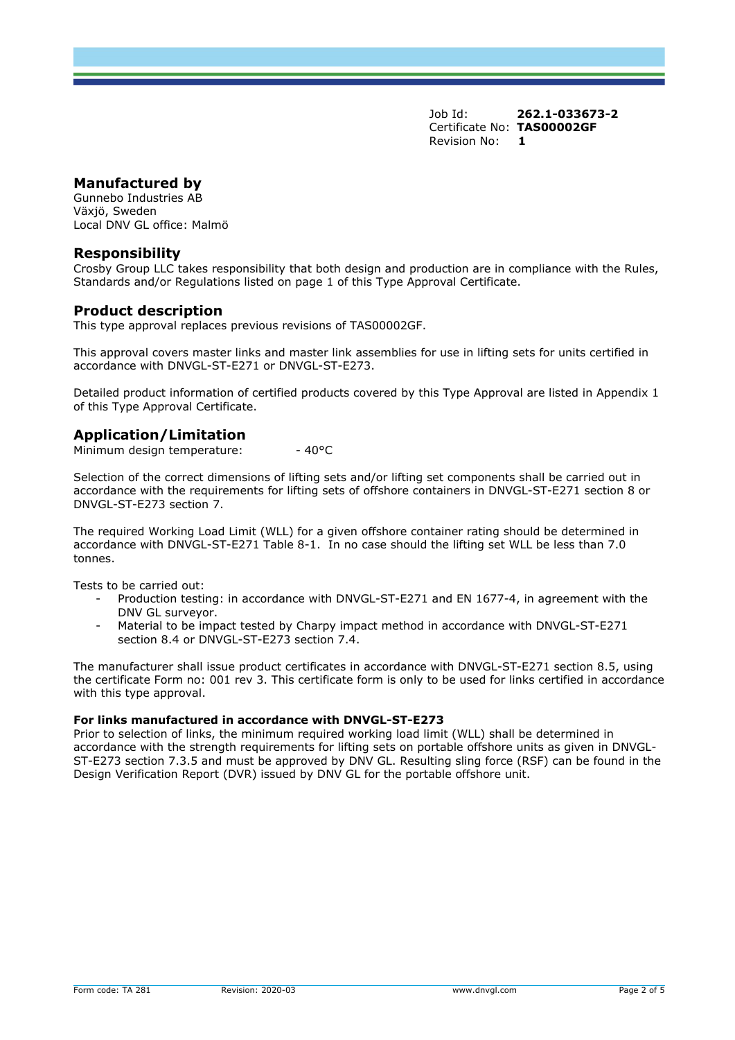# **Manufactured by**

Gunnebo Industries AB Växjö, Sweden Local DNV GL office: Malmö

## **Responsibility**

Crosby Group LLC takes responsibility that both design and production are in compliance with the Rules, Standards and/or Regulations listed on page 1 of this Type Approval Certificate.

# **Product description**

This type approval replaces previous revisions of TAS00002GF.

This approval covers master links and master link assemblies for use in lifting sets for units certified in accordance with DNVGL-ST-E271 or DNVGL-ST-E273.

Detailed product information of certified products covered by this Type Approval are listed in Appendix 1 of this Type Approval Certificate.

# **Application/Limitation**

Minimum design temperature: - 40°C

Selection of the correct dimensions of lifting sets and/or lifting set components shall be carried out in accordance with the requirements for lifting sets of offshore containers in DNVGL-ST-E271 section 8 or DNVGL-ST-E273 section 7.

The required Working Load Limit (WLL) for a given offshore container rating should be determined in accordance with DNVGL-ST-E271 Table 8-1. In no case should the lifting set WLL be less than 7.0 tonnes.

Tests to be carried out:

- Production testing: in accordance with DNVGL-ST-E271 and EN 1677-4, in agreement with the DNV GL surveyor.
- Material to be impact tested by Charpy impact method in accordance with DNVGL-ST-E271 section 8.4 or DNVGL-ST-E273 section 7.4.

The manufacturer shall issue product certificates in accordance with DNVGL-ST-E271 section 8.5, using the certificate Form no: 001 rev 3. This certificate form is only to be used for links certified in accordance with this type approval.

#### **For links manufactured in accordance with DNVGL-ST-E273**

Prior to selection of links, the minimum required working load limit (WLL) shall be determined in accordance with the strength requirements for lifting sets on portable offshore units as given in DNVGL-ST-E273 section 7.3.5 and must be approved by DNV GL. Resulting sling force (RSF) can be found in the Design Verification Report (DVR) issued by DNV GL for the portable offshore unit.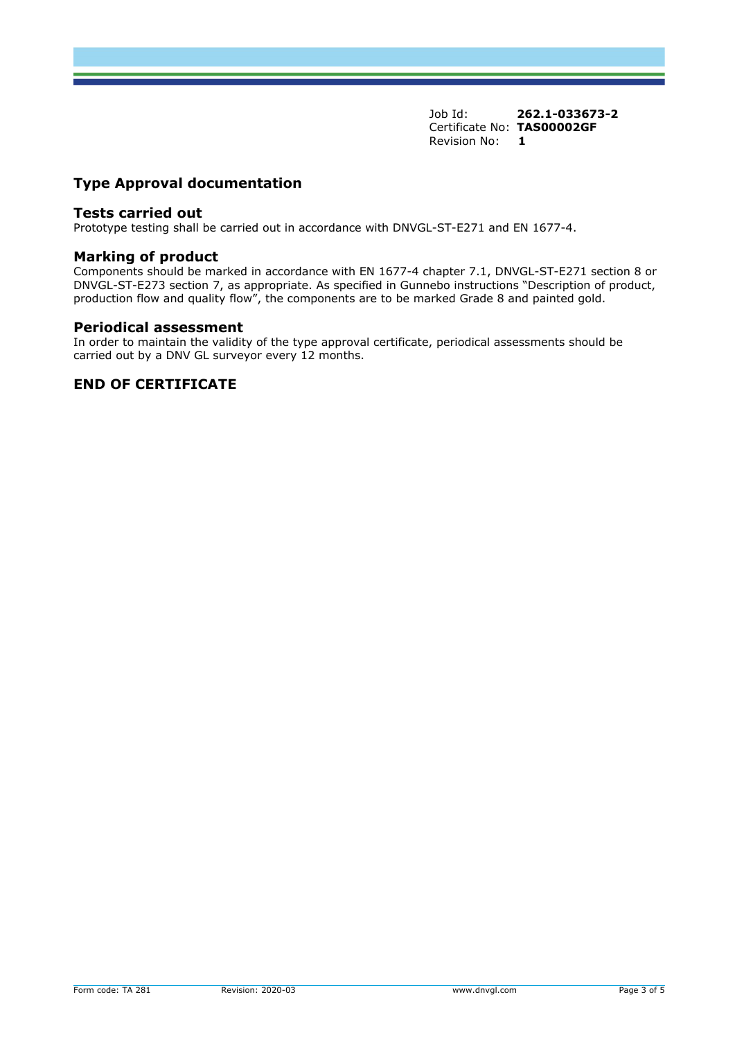# **Type Approval documentation**

### **Tests carried out**

Prototype testing shall be carried out in accordance with DNVGL-ST-E271 and EN 1677-4.

## **Marking of product**

Components should be marked in accordance with EN 1677-4 chapter 7.1, DNVGL-ST-E271 section 8 or DNVGL-ST-E273 section 7, as appropriate. As specified in Gunnebo instructions "Description of product, production flow and quality flow", the components are to be marked Grade 8 and painted gold.

#### **Periodical assessment**

In order to maintain the validity of the type approval certificate, periodical assessments should be carried out by a DNV GL surveyor every 12 months.

# **END OF CERTIFICATE**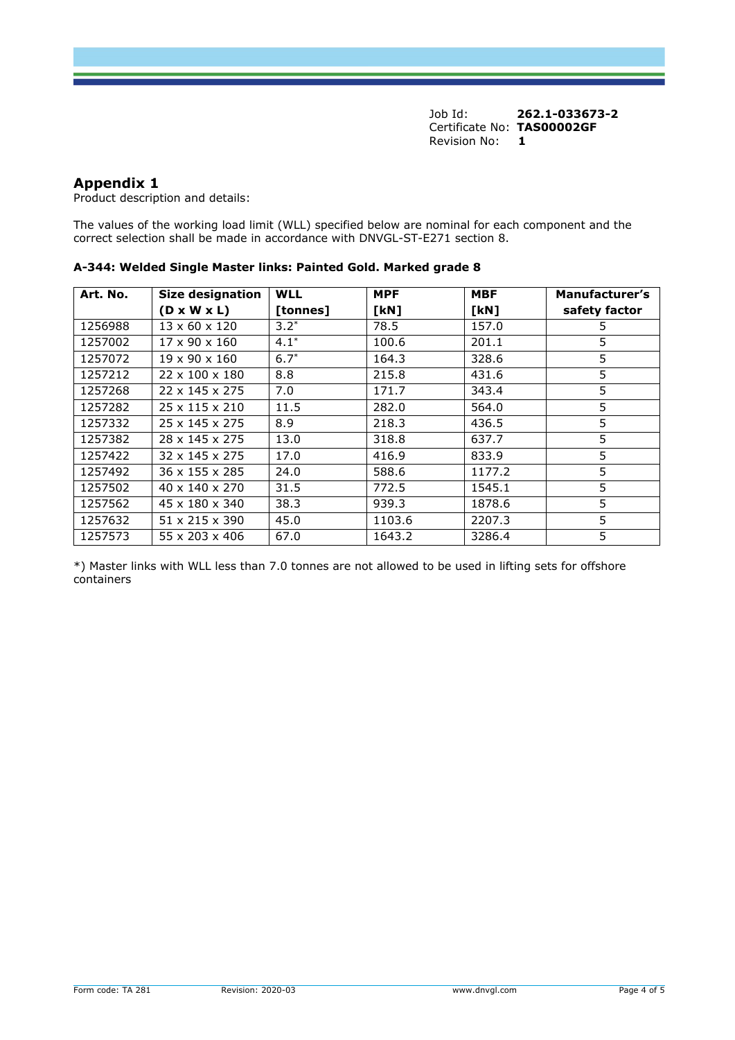# **Appendix 1**

Product description and details:

The values of the working load limit (WLL) specified below are nominal for each component and the correct selection shall be made in accordance with DNVGL-ST-E271 section 8.

| Art. No. | <b>Size designation</b>    | <b>WLL</b> | <b>MPF</b> | <b>MBF</b> | Manufacturer's |
|----------|----------------------------|------------|------------|------------|----------------|
|          | $(D \times W \times L)$    | [tonnes]   | [KN]       | [KN]       | safety factor  |
| 1256988  | $13 \times 60 \times 120$  | $3.2*$     | 78.5       | 157.0      | 5              |
| 1257002  | 17 x 90 x 160              | $4.1*$     | 100.6      | 201.1      | 5              |
| 1257072  | $19 \times 90 \times 160$  | $6.7*$     | 164.3      | 328.6      | 5              |
| 1257212  | $22 \times 100 \times 180$ | 8.8        | 215.8      | 431.6      | 5              |
| 1257268  | 22 x 145 x 275             | 7.0        | 171.7      | 343.4      | 5              |
| 1257282  | 25 x 115 x 210             | 11.5       | 282.0      | 564.0      | 5              |
| 1257332  | $25 \times 145 \times 275$ | 8.9        | 218.3      | 436.5      | 5              |
| 1257382  | $28 \times 145 \times 275$ | 13.0       | 318.8      | 637.7      | 5              |
| 1257422  | $32 \times 145 \times 275$ | 17.0       | 416.9      | 833.9      | 5              |
| 1257492  | $36 \times 155 \times 285$ | 24.0       | 588.6      | 1177.2     | 5              |
| 1257502  | $40 \times 140 \times 270$ | 31.5       | 772.5      | 1545.1     | 5              |
| 1257562  | 45 x 180 x 340             | 38.3       | 939.3      | 1878.6     | 5              |
| 1257632  | $51 \times 215 \times 390$ | 45.0       | 1103.6     | 2207.3     | 5              |
| 1257573  | $55 \times 203 \times 406$ | 67.0       | 1643.2     | 3286.4     | 5              |

**A-344: Welded Single Master links: Painted Gold. Marked grade 8**

\*) Master links with WLL less than 7.0 tonnes are not allowed to be used in lifting sets for offshore containers